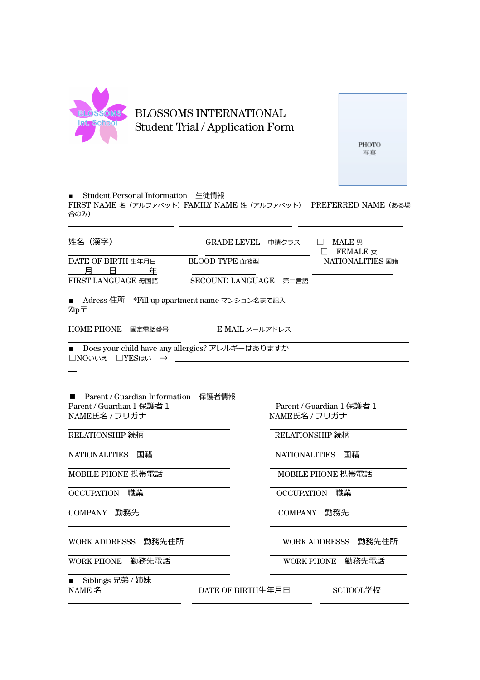

**PHOTO** 写真

■ Student Personal Information 生徒情報

FIRST NAME 名 (アルファベット) FAMILY NAME 姓 (アルファベット) PREFERRED NAME (ある場 合のみ)

姓名(漢字) GRADE LEVEL 申請クラス □ MALE 男

DATE OF BIRTH ⽣年⽉⽇ BLOOD TYPE ⾎液型 NATIONALITIES 国籍

<u>月日年</u><br>FIRST LANGUAGE 母国語

**SECOUND LANGUAGE 第二言語** 

■ Adress 住所 \*Fill up apartment name マンション名まで記入  $\mathrm{Zip}\,\overline{\mathsf{T}}$ 

HOME PHONE 固定電話番号 <br>
E-MAIL メールアドレス

■ Does your child have any allergies? アレルギーはありますか □NOいいえ □YESはい ⇒

■ Parent / Guardian Information 保護者情報<br>Parent / Guardian 1 保護者 1 Parent / Guardian 1 保護者 1 Rarent / Guardian 1 保護者 1<br>NAME氏名 / フリガナ イントランド - NAME氏名 / フリガナ

RELATIONSHIP 続柄 RELATIONSHIP 続柄

OCCUPATION 職業 OCCUPATION 職業

WORK ADDRESSS 勤務先住所 WORK ADDRESSS 勤務先住所

WORK PHONE 勤務先電話 WORK PHONE 勤務先電話

■ Siblings 兄弟 / 姉妹<br>NAME 名

DATE OF BIRTH生年月日 SCHOOL学校

NAME氏名 / フリガナ

 $\Box$  FEMALE  $\sigma$ 

NATIONALITIES 国籍 NATIONALITIES 国籍

MOBILE PHONE 携帯電話 インタンド MOBILE PHONE 携帯電話

COMPANY 勤務先 COMPANY 勤務先